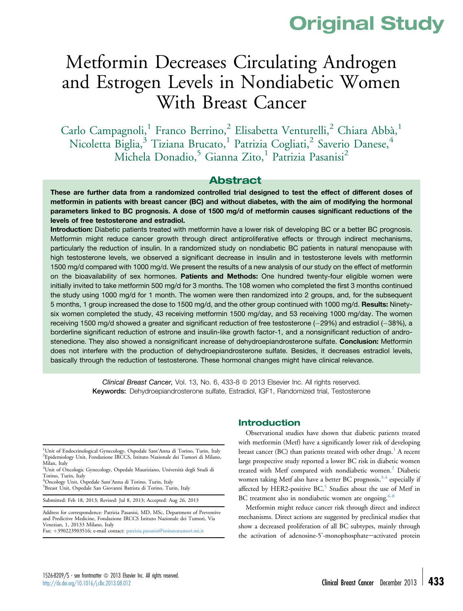# Original Study

# Metformin Decreases Circulating Androgen and Estrogen Levels in Nondiabetic Women With Breast Cancer

Carlo Campagnoli,<sup>1</sup> Franco Berrino,<sup>2</sup> Elisabetta Venturelli,<sup>2</sup> Chiara Abbà,<sup>1</sup> Nicoletta Biglia,<sup>3</sup> Tiziana Brucato,<sup>1</sup> Patrizia Cogliati,<sup>2</sup> Saverio Danese,<sup>4</sup> Michela Donadio,<sup>5</sup> Gianna Zito,<sup>1</sup> Patrizia Pasanisi<sup>2</sup>

# Abstract

These are further data from a randomized controlled trial designed to test the effect of different doses of metformin in patients with breast cancer (BC) and without diabetes, with the aim of modifying the hormonal parameters linked to BC prognosis. A dose of 1500 mg/d of metformin causes significant reductions of the levels of free testosterone and estradiol.

Introduction: Diabetic patients treated with metformin have a lower risk of developing BC or a better BC prognosis. Metformin might reduce cancer growth through direct antiproliferative effects or through indirect mechanisms, particularly the reduction of insulin. In a randomized study on nondiabetic BC patients in natural menopause with high testosterone levels, we observed a significant decrease in insulin and in testosterone levels with metformin 1500 mg/d compared with 1000 mg/d. We present the results of a new analysis of our study on the effect of metformin on the bioavailability of sex hormones. Patients and Methods: One hundred twenty-four eligible women were initially invited to take metformin 500 mg/d for 3 months. The 108 women who completed the first 3 months continued the study using 1000 mg/d for 1 month. The women were then randomized into 2 groups, and, for the subsequent 5 months, 1 group increased the dose to 1500 mg/d, and the other group continued with 1000 mg/d. Results: Ninetysix women completed the study, 43 receiving metformin 1500 mg/day, and 53 receiving 1000 mg/day. The women receiving 1500 mg/d showed a greater and significant reduction of free testosterone  $(-29%)$  and estradiol  $(-38%)$ , a borderline significant reduction of estrone and insulin-like growth factor-1, and a nonsignificant reduction of androstenedione. They also showed a nonsignificant increase of dehydroepiandrosterone sulfate. Conclusion: Metformin does not interfere with the production of dehydroepiandrosterone sulfate. Besides, it decreases estradiol levels, basically through the reduction of testosterone. These hormonal changes might have clinical relevance.

> Clinical Breast Cancer, Vol. 13, No. 6, 433-8  $\odot$  2013 Elsevier Inc. All rights reserved. Keywords: Dehydroepiandrosterone sulfate, Estradiol, IGF1, Randomized trial, Testosterone

<sup>1</sup>Unit of Endocrinological Gynecology, Ospedale Sant'Anna di Torino, Turin, Italy<br><sup>2</sup>Enidemialegy Unit, Englazione IRCCS, Istitute Nazionale dei Tumori di Milano Epidemiology Unit, Fondazione IRCCS, Istituto Nazionale dei Tumori di Milano, Milan, Italy

3 Unit of Oncologic Gynecology, Ospedale Mauriziano, Università degli Studi di Torino, Turin, Italy

<sup>4</sup>Oncology Unit, Ospedale Sant'Anna di Torino, Turin, Italy<br><sup>5</sup>Breest Unit, Ospedale San Ciovanni Battiste di Torino, Tur <sup>5</sup>Breast Unit, Ospedale San Giovanni Battista di Torino, Turin, Italy

Submitted: Feb 18, 2013; Revised: Jul 8, 2013; Accepted: Aug 26, 2013

Address for correspondence: Patrizia Pasanisi, MD, MSc, Department of Preventive and Predictive Medicine, Fondazione IRCCS Istituto Nazionale dei Tumori, Via Venezian, 1, 20133 Milano, Italy Fax: +390223903516; e-mail contact: [patrizia.pasanisi@istitutotumori.mi.it](mailto:patrizia.pasanisi@istitutotumori.mi.it)

#### Introduction

Observational studies have shown that diabetic patients treated with metformin (Metf) have a significantly lower risk of developing breast cancer (BC) than patients treated with other drugs.<sup>[1](#page-4-0)</sup> A recent large prospective study reported a lower BC risk in diabetic women treated with Metf compared with nondiabetic women.<sup>2</sup> Diabetic women taking Metf also have a better BC prognosis,  $3,4$  especially if affected by HER2-positive BC.<sup>[5](#page-4-0)</sup> Studies about the use of Metf in BC treatment also in nondiabetic women are ongoing.<sup>[6-8](#page-4-0)</sup>

Metformin might reduce cancer risk through direct and indirect mechanisms. Direct actions are suggested by preclinical studies that show a decreased proliferation of all BC subtypes, mainly through the activation of adenosine-5'-monophosphate-activated protein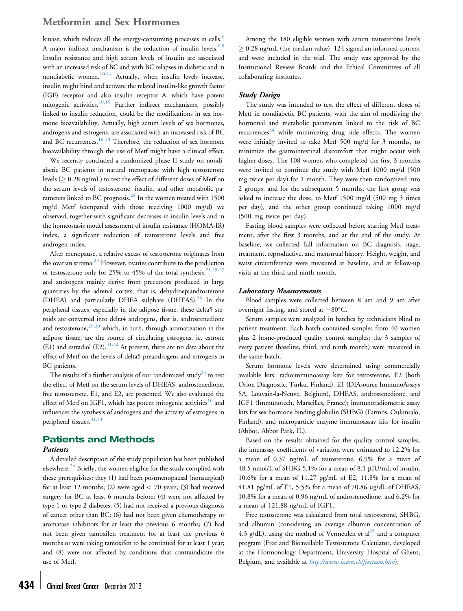# Metformin and Sex Hormones

kinase, which reduces all the energy-consuming processes in cells.<sup>[6](#page-4-0)</sup> A major indirect mechanism is the reduction of insulin levels. $6,9$ Insulin resistance and high serum levels of insulin are associated with an increased risk of BC and with BC relapses in diabetic and in nondiabetic women.[10-14](#page-4-0) Actually, when insulin levels increase, insulin might bind and activate the related insulin-like growth factor (IGF) receptor and also insulin receptor A, which have potent mitogenic activities.<sup>[10,15](#page-4-0)</sup> Further indirect mechanisms, possibly linked to insulin reduction, could be the modifications in sex hormone bioavailability. Actually, high serum levels of sex hormones, androgens and estrogens, are associated with an increased risk of BC and BC recurrences.<sup>[16-23](#page-4-0)</sup> Therefore, the reduction of sex hormone bioavailability through the use of Metf might have a clinical effect.

We recently concluded a randomized phase II study on nondiabetic BC patients in natural menopause with high testosterone levels ( $\geq 0.28$  ng/mL) to test the effect of different doses of Metf on the serum levels of testosterone, insulin, and other metabolic parameters linked to BC prognosis. $^{24}$  $^{24}$  $^{24}$  In the women treated with 1500 mg/d Metf (compared with those receiving 1000 mg/d) we observed, together with significant decreases in insulin levels and in the homeostasis model assessment of insulin resistance (HOMA-IR) index, a significant reduction of testosterone levels and free androgen index.

After menopause, a relative excess of testosterone originates from the ovarian stroma. $25$  However, ovaries contribute to the production of testosterone only for 25% to 45% of the total synthesis,  $21,25-27$ and androgens mainly derive from precursors produced in large quantities by the adrenal cortex, that is, dehydroepiandrosterone (DHEA) and particularly DHEA sulphate (DHEAS).<sup>[28](#page-5-0)</sup> In the peripheral tissues, especially in the adipose tissue, these delta5 steroids are converted into delta4 androgens, that is, androstenedione and testosterone, $29,30$  which, in turn, through aromatization in the adipose tissue, are the source of circulating estrogens, ie, estrone (E1) and estradiol (E2).<sup>[31,32](#page-5-0)</sup> At present, there are no data about the effect of Metf on the levels of delta5 preandrogens and estrogens in BC patients.

The results of a further analysis of our randomized study<sup>[24](#page-5-0)</sup> to test the effect of Metf on the serum levels of DHEAS, androstenedione, free testosterone, E1, and E2, are presented. We also evaluated the effect of Metf on IGF1, which has potent mitogenic activities<sup>[10](#page-4-0)</sup> and influences the synthesis of androgens and the activity of estrogens in peripheral tissues. $31,33$ 

#### Patients and Methods

#### Patients

A detailed description of the study population has been published elsewhere. $^{24}$  $^{24}$  $^{24}$  Briefly, the women eligible for the study complied with these prerequisites: they (1) had been postmenopausal (nonsurgical) for at least 12 months; (2) were aged  $<$  70 years; (3) had received surgery for BC at least 6 months before; (4) were not affected by type 1 or type 2 diabetes; (5) had not received a previous diagnosis of cancer other than BC; (6) had not been given chemotherapy or aromatase inhibitors for at least the previous 6 months; (7) had not been given tamoxifen treatment for at least the previous 6 months or were taking tamoxifen to be continued for at least 1 year; and (8) were not affected by conditions that contraindicate the use of Metf.

Among the 180 eligible women with serum testosterone levels  $> 0.28$  ng/mL (the median value), 124 signed an informed consent and were included in the trial. The study was approved by the Institutional Review Boards and the Ethical Committees of all collaborating institutes.

#### Study Design

The study was intended to test the effect of different doses of Metf in nondiabetic BC patients, with the aim of modifying the hormonal and metabolic parameters linked to the risk of BC recurrences $34$  while minimizing drug side effects. The women were initially invited to take Metf 500 mg/d for 3 months, to minimize the gastrointestinal discomfort that might occur with higher doses. The 108 women who completed the first 3 months were invited to continue the study with Metf 1000 mg/d (500 mg twice per day) for 1 month. They were then randomized into 2 groups, and for the subsequent 5 months, the first group was asked to increase the dose, to Metf 1500 mg/d (500 mg 3 times per day), and the other group continued taking 1000 mg/d (500 mg twice per day).

Fasting blood samples were collected before starting Metf treatment, after the first 3 months, and at the end of the study. At baseline, we collected full information on BC diagnosis, stage, treatment, reproductive, and menstrual history. Height, weight, and waist circumference were measured at baseline, and at follow-up visits at the third and ninth month.

#### Laboratory Measurements

Blood samples were collected between 8 am and 9 am after overnight fasting, and stored at  $-80^{\circ}$ C.

Serum samples were analyzed in batches by technicians blind to patient treatment. Each batch contained samples from 40 women plus 2 home-produced quality control samples; the 3 samples of every patient (baseline, third, and ninth month) were measured in the same batch.

Serum hormone levels were determined using commercially available kits: radioimmunoassay kits for testosterone, E2 (both Orion Diagnostic, Turku, Finland), E1 (DIAsource ImmunoAssays SA, Louvain-la-Neuve, Belgium), DHEAS, androstenedione, and IGF1 (Immunotech, Marseilles, France); immunoradiometric assay kits for sex hormone binding globulin (SHBG) (Farmos, Oulunsalo, Finland), and microparticle enzyme immunoassay kits for insulin (Abbot, Abbot Park, IL).

Based on the results obtained for the quality control samples, the interassay coefficients of variation were estimated to 12.2% for a mean of 0.37 ng/mL of testosterone, 6.9% for a mean of 48.5 nmol/L of SHBG 5.1% for a mean of 8.1 µIU/mL of insulin, 10.6% for a mean of 11.27 pg/mL of E2, 11.8% for a mean of 41.81 pg/mL of E1, 5.5% for a mean of 70.86  $\mu$ g/dL of DHEAS, 10.8% for a mean of 0.96 ng/mL of androstenedione, and 6.2% for a mean of 121.88 ng/mL of IGF1.

Free testosterone was calculated from total testosterone, SHBG, and albumin (considering an average albumin concentration of 4.3 g/dL), using the method of Vermeulen et  $al<sup>35</sup>$  and a computer program (Free and Bioavailable Testosterone Calculator, developed at the Hormonology Department, University Hospital of Ghent, Belgium, and available at <http://www.issam.ch/freetesto.htm>).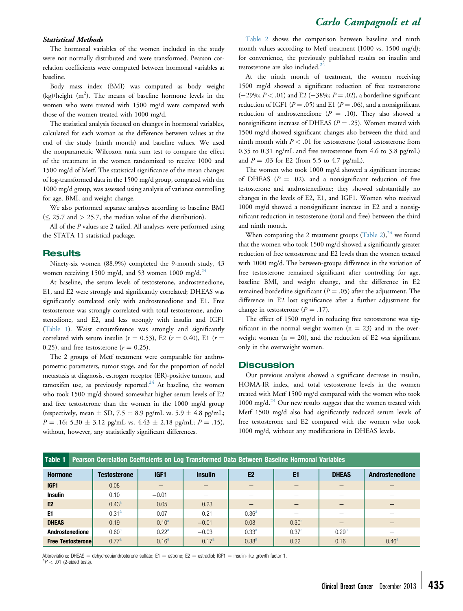# Carlo Campagnoli et al

#### Statistical Methods

The hormonal variables of the women included in the study were not normally distributed and were transformed. Pearson correlation coefficients were computed between hormonal variables at baseline.

Body mass index (BMI) was computed as body weight (kg)/height  $(m^2)$ . The means of baseline hormone levels in the women who were treated with 1500 mg/d were compared with those of the women treated with 1000 mg/d.

The statistical analysis focused on changes in hormonal variables, calculated for each woman as the difference between values at the end of the study (ninth month) and baseline values. We used the nonparametric Wilcoxon rank sum test to compare the effect of the treatment in the women randomized to receive 1000 and 1500 mg/d of Metf. The statistical significance of the mean changes of log-transformed data in the 1500 mg/d group, compared with the 1000 mg/d group, was assessed using analysis of variance controlling for age, BMI, and weight change.

We also performed separate analyses according to baseline BMI  $(\leq 25.7 \text{ and } > 25.7, \text{ the median value of the distribution}).$ 

All of the P values are 2-tailed. All analyses were performed using the STATA 11 statistical package.

#### **Results**

Ninety-six women (88.9%) completed the 9-month study, 43 women receiving 1500 mg/d, and 53 women 1000 mg/d.<sup>[24](#page-5-0)</sup>

At baseline, the serum levels of testosterone, androstenedione, E1, and E2 were strongly and significantly correlated; DHEAS was significantly correlated only with androstenedione and E1. Free testosterone was strongly correlated with total testosterone, androstenedione, and E2, and less strongly with insulin and IGF1 (Table 1). Waist circumference was strongly and significantly correlated with serum insulin ( $r = 0.53$ ), E2 ( $r = 0.40$ ), E1 ( $r =$ 0.25), and free testosterone ( $r = 0.25$ ).

The 2 groups of Metf treatment were comparable for anthropometric parameters, tumor stage, and for the proportion of nodal metastasis at diagnosis, estrogen receptor (ER)-positive tumors, and tamoxifen use, as previously reported.<sup>[24](#page-5-0)</sup> At baseline, the women who took 1500 mg/d showed somewhat higher serum levels of E2 and free testosterone than the women in the 1000 mg/d group (respectively, mean  $\pm$  SD, 7.5  $\pm$  8.9 pg/mL vs. 5.9  $\pm$  4.8 pg/mL;  $P = .16$ ; 5.30  $\pm$  3.12 pg/mL vs. 4.43  $\pm$  2.18 pg/mL;  $P = .15$ ), without, however, any statistically significant differences.

[Table 2](#page-3-0) shows the comparison between baseline and ninth month values according to Metf treatment (1000 vs. 1500 mg/d); for convenience, the previously published results on insulin and testosterone are also included.<sup>[24](#page-5-0)</sup>

At the ninth month of treatment, the women receiving 1500 mg/d showed a significant reduction of free testosterone  $(-29\%; P < .01)$  and E2  $(-38\%; P = .02)$ , a borderline significant reduction of IGF1 ( $P = .05$ ) and E1 ( $P = .06$ ), and a nonsignificant reduction of androstenedione ( $P = .10$ ). They also showed a nonsignificant increase of DHEAS ( $P = .25$ ). Women treated with 1500 mg/d showed significant changes also between the third and ninth month with  $P < .01$  for testosterone (total testosterone from 0.35 to 0.31 ng/mL and free testosterone from 4.6 to 3.8 pg/mL) and  $P = .03$  for E2 (from 5.5 to 4.7 pg/mL).

The women who took 1000 mg/d showed a significant increase of DHEAS ( $P = .02$ ), and a nonsignificant reduction of free testosterone and androstenedione; they showed substantially no changes in the levels of E2, E1, and IGF1. Women who received 1000 mg/d showed a nonsignificant increase in E2 and a nonsignificant reduction in testosterone (total and free) between the third and ninth month.

When comparing the 2 treatment groups  $(Table 2)$  $(Table 2)$ ,  $^{24}$  $^{24}$  $^{24}$  we found that the women who took 1500 mg/d showed a significantly greater reduction of free testosterone and E2 levels than the women treated with 1000 mg/d. The between-groups difference in the variation of free testosterone remained significant after controlling for age, baseline BMI, and weight change, and the difference in E2 remained borderline significant ( $P = .05$ ) after the adjustment. The difference in E2 lost significance after a further adjustment for change in testosterone ( $P = .17$ ).

The effect of 1500 mg/d in reducing free testosterone was significant in the normal weight women  $(n = 23)$  and in the overweight women ( $n = 20$ ), and the reduction of E2 was significant only in the overweight women.

#### **Discussion**

Our previous analysis showed a significant decrease in insulin, HOMA-IR index, and total testosterone levels in the women treated with Metf 1500 mg/d compared with the women who took 1000 mg/d. $^{24}$  $^{24}$  $^{24}$  Our new results suggest that the women treated with Metf 1500 mg/d also had significantly reduced serum levels of free testosterone and E2 compared with the women who took 1000 mg/d, without any modifications in DHEAS levels.

|                          |                   | Table 1 Pearson Correlation Coefficients on Log Transformed Data Between Baseline Hormonal Variables |                          |                   |                   |              |                        |  |  |  |  |
|--------------------------|-------------------|------------------------------------------------------------------------------------------------------|--------------------------|-------------------|-------------------|--------------|------------------------|--|--|--|--|
| <b>Hormone</b>           | Testosterone      | IGF1                                                                                                 | <b>Insulin</b>           | E <sub>2</sub>    | E1                | <b>DHEAS</b> | <b>Androstenedione</b> |  |  |  |  |
| IGF1                     | 0.08              |                                                                                                      | —                        |                   |                   |              |                        |  |  |  |  |
| <b>Insulin</b>           | 0.10              | $-0.01$                                                                                              | $\overline{\phantom{0}}$ |                   |                   |              |                        |  |  |  |  |
| E <sub>2</sub>           | $0.43^{\circ}$    | 0.05                                                                                                 | 0.23                     | —                 | $\qquad \qquad -$ |              |                        |  |  |  |  |
| E1                       | 0.31 <sup>a</sup> | 0.07                                                                                                 | 0.21                     | 0.36 <sup>a</sup> |                   |              |                        |  |  |  |  |
| <b>DHEAS</b>             | 0.19              | $0.10^{a}$                                                                                           | $-0.01$                  | 0.08              | $0.30^{a}$        |              |                        |  |  |  |  |
| Androstenedione          | $0.60^{\rm a}$    | 0.22 <sup>a</sup>                                                                                    | $-0.03$                  | $0.33^{a}$        | 0.37 <sup>a</sup> | $0.29^{a}$   |                        |  |  |  |  |
| <b>Free Testosterone</b> | 0.77 <sup>a</sup> | 0.16 <sup>a</sup>                                                                                    | 0.17 <sup>a</sup>        | $0.38^{a}$        | 0.22              | 0.16         | $0.46^{\text{a}}$      |  |  |  |  |

Abbreviations: DHEAS = dehydroepiandrosterone sulfate; E1 = estrone; E2 = estradiol; IGF1 = insulin-like growth factor 1.  ${}^{a}P$  < .01 (2-sided tests).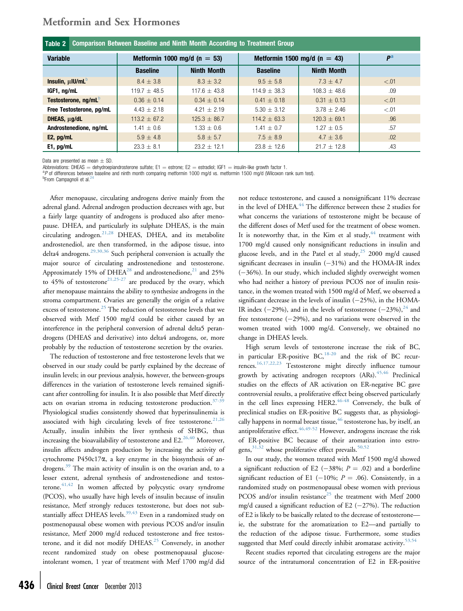<span id="page-3-0"></span>

| <b>Metformin and Sex Hormones</b> |  |  |
|-----------------------------------|--|--|
|                                   |  |  |

| Comparison Between Baseline and Ninth Month According to Treatment Group<br>Table 2 |                              |                    |                              |                    |        |  |  |  |
|-------------------------------------------------------------------------------------|------------------------------|--------------------|------------------------------|--------------------|--------|--|--|--|
| <b>Variable</b>                                                                     | Metformin 1000 mg/d (n = 53) |                    | Metformin 1500 mg/d (n = 43) | P <sup>a</sup>     |        |  |  |  |
|                                                                                     | <b>Baseline</b>              | <b>Ninth Month</b> | <b>Baseline</b>              | <b>Ninth Month</b> |        |  |  |  |
| Insulin, $\mu$ IU/mL $^b$                                                           | $8.4 \pm 3.8$                | $8.3 \pm 3.2$      | $9.5 \pm 5.8$                | $7.3 + 4.7$        | < 0.01 |  |  |  |
| IGF1, ng/mL                                                                         | $119.7 + 48.5$               | $117.6 + 43.8$     | $114.9 + 38.3$               | $108.3 + 48.6$     | .09    |  |  |  |
| Testosterone, ng/mL <sup>D</sup>                                                    | $0.36 \pm 0.14$              | $0.34 \pm 0.14$    | $0.41 \pm 0.18$              | $0.31 \pm 0.13$    | < 0.01 |  |  |  |
| Free Testosterone, pg/mL                                                            | $4.43 + 2.18$                | $4.21 + 2.19$      | $5.30 \pm 3.12$              | $3.78 + 2.46$      | < .01  |  |  |  |
| DHEAS, µg/dL                                                                        | $113.2 \pm 67.2$             | $125.3 \pm 86.7$   | $114.2 \pm 63.3$             | $120.3 \pm 69.1$   | .96    |  |  |  |
| Androstenedione, ng/mL                                                              | $1.41 \pm 0.6$               | $1.33 \pm 0.6$     | $1.41 \pm 0.7$               | $1.27 + 0.5$       | .57    |  |  |  |
| $E2$ , pg/mL                                                                        | $5.9 \pm 4.8$                | $5.8 \pm 5.7$      | $7.5 \pm 8.9$                | $4.7 \pm 3.6$      | .02    |  |  |  |
| E1, pg/mL                                                                           | $23.3 \pm 8.1$               | $23.2 \pm 12.1$    | $23.8 \pm 12.6$              | $21.7 \pm 12.8$    | .43    |  |  |  |

Data are presented as mean  $+$  SD.

Abbreviations: DHEAS = dehydroepiandrosterone sulfate; E1 = estrone; E2 = estradiol; IGF1 = insulin-like growth factor 1.

ap of differences between baseline and ninth month comparing metformin 1000 mg/d vs. metformin 1500 mg/d (Wilcoxon rank sum test).

<sup>b</sup>From Campagnoli et al.

After menopause, circulating androgens derive mainly from the adrenal gland. Adrenal androgen production decreases with age, but a fairly large quantity of androgens is produced also after menopause. DHEA, and particularly its sulphate DHEAS, is the main circulating androgen.[21,28](#page-5-0) DHEAS, DHEA, and its metabolite androstenediol, are then transformed, in the adipose tissue, into delta4 androgens.[29,30,36](#page-5-0) Such peripheral conversion is actually the major source of circulating androstenedione and testosterone. Approximately 15% of DHEA<sup>[28](#page-5-0)</sup> and androstenedione,<sup>[21](#page-5-0)</sup> and 25% to 45% of testosterone<sup>[21,25-27](#page-5-0)</sup> are produced by the ovary, which after menopause maintains the ability to synthesize androgens in the stroma compartment. Ovaries are generally the origin of a relative excess of testosterone.<sup>[25](#page-5-0)</sup> The reduction of testosterone levels that we observed with Metf 1500 mg/d could be either caused by an interference in the peripheral conversion of adrenal delta5 perandrogens (DHEAS and derivative) into delta4 androgens, or, more probably by the reduction of testosterone secretion by the ovaries.

The reduction of testosterone and free testosterone levels that we observed in our study could be partly explained by the decrease of insulin levels; in our previous analysis, however, the between-groups differences in the variation of testosterone levels remained significant after controlling for insulin. It is also possible that Metf directly acts on ovarian stroma in reducing testosterone production. $37-39$ Physiological studies consistently showed that hyperinsulinemia is associated with high circulating levels of free testosterone.<sup>[21,26](#page-5-0)</sup> Actually, insulin inhibits the liver synthesis of SHBG, thus increasing the bioavailability of testosterone and  $E2.^{26,40}$  $E2.^{26,40}$  $E2.^{26,40}$  Moreover, insulin affects androgen production by increasing the activity of cytochrome P450c17a, a key enzyme in the biosynthesis of an-drogens.<sup>[39](#page-5-0)</sup> The main activity of insulin is on the ovarian and, to a lesser extent, adrenal synthesis of androstenedione and testosterone. $41,42$  In women affected by polycystic ovary syndrome (PCOS), who usually have high levels of insulin because of insulin resistance, Metf strongly reduces testosterone, but does not sub-stantially affect DHEAS levels.<sup>[39,43](#page-5-0)</sup> Even in a randomized study on postmenopausal obese women with previous PCOS and/or insulin resistance, Metf 2000 mg/d reduced testosterone and free testos-terone, and it did not modify DHEAS.<sup>[25](#page-5-0)</sup> Conversely, in another recent randomized study on obese postmenopausal glucoseintolerant women, 1 year of treatment with Metf 1700 mg/d did

not reduce testosterone, and caused a nonsignificant 11% decrease in the level of DHEA.<sup>[44](#page-5-0)</sup> The difference between these 2 studies for what concerns the variations of testosterone might be because of the different doses of Metf used for the treatment of obese women. It is noteworthy that, in the Kim et al study,<sup>[44](#page-5-0)</sup> treatment with 1700 mg/d caused only nonsignificant reductions in insulin and glucose levels, and in the Patel et al study,  $25$  2000 mg/d caused significant decreases in insulin  $(-31\%)$  and the HOMA-IR index  $(-36%)$ . In our study, which included slightly overweight women who had neither a history of previous PCOS nor of insulin resistance, in the women treated with 1500 mg/d of Metf, we observed a significant decrease in the levels of insulin  $(-25%)$ , in the HOMA-IR index ( $-29\%$ ), and in the levels of testosterone ( $-23\%$ ),<sup>[24](#page-5-0)</sup> and free testosterone  $(-29%)$ , and no variations were observed in the women treated with 1000 mg/d. Conversely, we obtained no change in DHEAS levels.

High serum levels of testosterone increase the risk of BC, in particular ER-positive  $BC<sub>18-20</sub>$  $BC<sub>18-20</sub>$  $BC<sub>18-20</sub>$  and the risk of BC recurrences[.16,17,22,23](#page-4-0) Testosterone might directly influence tumour growth by activating androgen receptors (ARs).[45,46](#page-5-0) Preclinical studies on the effects of AR activation on ER-negative BC gave controversial results, a proliferative effect being observed particularly in the cell lines expressing HER2.<sup>[46-48](#page-5-0)</sup> Conversely, the bulk of preclinical studies on ER-positive BC suggests that, as physiologi-cally happens in normal breast tissue,<sup>[46](#page-5-0)</sup> testosterone has, by itself, an antiproliferative effect.  $46,49-52$  However, androgens increase the risk of ER-positive BC because of their aromatization into estrogens,  $31,32$  whose proliferative effect prevails.  $50,52$ 

In our study, the women treated with Metf 1500 mg/d showed a significant reduction of E2 (-38%;  $P = .02$ ) and a borderline significant reduction of E1 (-10%;  $P = .06$ ). Consistently, in a randomized study on postmenopausal obese women with previous PCOS and/or insulin resistance<sup>[25](#page-5-0)</sup> the treatment with Metf 2000 mg/d caused a significant reduction of E2  $(-27%)$ . The reduction of E2 is likely to be basically related to the decrease of testosterone ie, the substrate for the aromatization to E2—and partially to the reduction of the adipose tissue. Furthermore, some studies suggested that Metf could directly inhibit aromatase activity.<sup>[53,54](#page-5-0)</sup>

Recent studies reported that circulating estrogens are the major source of the intratumoral concentration of E2 in ER-positive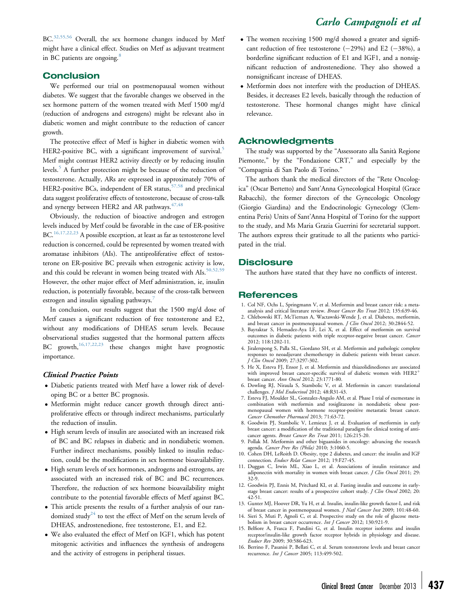<span id="page-4-0"></span>BC.<sup>[32,55,56](#page-5-0)</sup> Overall, the sex hormone changes induced by Metf might have a clinical effect. Studies on Metf as adjuvant treatment in BC patients are ongoing.<sup>8</sup>

## **Conclusion**

We performed our trial on postmenopausal women without diabetes. We suggest that the favorable changes we observed in the sex hormone pattern of the women treated with Metf 1500 mg/d (reduction of androgens and estrogens) might be relevant also in diabetic women and might contribute to the reduction of cancer growth.

The protective effect of Metf is higher in diabetic women with HER2-positive BC, with a significant improvement of survival.<sup>5</sup> Metf might contrast HER2 activity directly or by reducing insulin levels.<sup>5</sup> A further protection might be because of the reduction of testosterone. Actually, ARs are expressed in approximately 70% of HER2-positive BCs, independent of ER status,  $57,58$  and preclinical data suggest proliferative effects of testosterone, because of cross-talk and synergy between HER2 and AR pathways.  $47,48$ 

Obviously, the reduction of bioactive androgen and estrogen levels induced by Metf could be favorable in the case of ER-positive BC.<sup>16,17,22,23</sup> A possible exception, at least as far as testosterone level reduction is concerned, could be represented by women treated with aromatase inhibitors (AIs). The antiproliferative effect of testosterone on ER-positive BC prevails when estrogenic activity is low, and this could be relevant in women being treated with AIs.<sup>50,52,59</sup> However, the other major effect of Metf administration, ie, insulin reduction, is potentially favorable, because of the cross-talk between estrogen and insulin signaling pathways.<sup>7</sup>

In conclusion, our results suggest that the 1500 mg/d dose of Metf causes a significant reduction of free testosterone and E2, without any modifications of DHEAS serum levels. Because observational studies suggested that the hormonal pattern affects BC growth,<sup>16,17,22,23</sup> these changes might have prognostic importance.

#### Clinical Practice Points

- Diabetic patients treated with Metf have a lower risk of developing BC or a better BC prognosis.
- Metformin might reduce cancer growth through direct antiproliferative effects or through indirect mechanisms, particularly the reduction of insulin.
- High serum levels of insulin are associated with an increased risk of BC and BC relapses in diabetic and in nondiabetic women. Further indirect mechanisms, possibly linked to insulin reduction, could be the modifications in sex hormone bioavailability.
- High serum levels of sex hormones, androgens and estrogens, are associated with an increased risk of BC and BC recurrences. Therefore, the reduction of sex hormone bioavailability might contribute to the potential favorable effects of Metf against BC.
- This article presents the results of a further analysis of our ran-domized study<sup>[24](#page-5-0)</sup> to test the effect of Metf on the serum levels of DHEAS, androstenedione, free testosterone, E1, and E2.
- We also evaluated the effect of Metf on IGF1, which has potent mitogenic activities and influences the synthesis of androgens and the activity of estrogens in peripheral tissues.
- The women receiving 1500 mg/d showed a greater and significant reduction of free testosterone  $(-29%)$  and E2  $(-38%)$ , a borderline significant reduction of E1 and IGF1, and a nonsignificant reduction of androstenedione. They also showed a nonsignificant increase of DHEAS.
- Metformin does not interfere with the production of DHEAS. Besides, it decreases E2 levels, basically through the reduction of testosterone. These hormonal changes might have clinical relevance.

### Acknowledgments

The study was supported by the "Assessorato alla Sanità Regione Piemonte," by the "Fondazione CRT," and especially by the "Compagnia di San Paolo di Torino."

The authors thank the medical directors of the "Rete Oncologica" (Oscar Bertetto) and Sant'Anna Gynecological Hospital (Grace Rabacchi), the former directors of the Gynecologic Oncology (Giorgio Giardina) and the Endocrinologic Gynecology (Clementina Peris) Units of Sant'Anna Hospital of Torino for the support to the study, and Ms Maria Grazia Guerrini for secretarial support. The authors express their gratitude to all the patients who participated in the trial.

## **Disclosure**

The authors have stated that they have no conflicts of interest.

### **References**

- 1. Col NF, Ochs L, Springmann V, et al. Metformin and breast cancer risk: a metaanalysis and critical literature review. Breast Cancer Res Treat 2012; 135:639-46.
- 2. Chlebowski RT, McTiernan A, Wactawski-Wende J, et al. Diabetes, metformin, and breast cancer in postmenopausal women. J Clin Oncol 2012; 30:2844-52.
- 3. Bayraktar S, Hernadez-Aya LF, Lei X, et al. Effect of metformin on survival outcomes in diabetic patients with triple receptor-negative breast cancer. Cancer 2012; 118:1202-11.
- 4. Jiralerspong S, Palla SL, Giordano SH, et al. Metformin and pathologic complete responses to neoadjuvant chemotherapy in diabetic patients with breast cancer. J Clin Oncol 2009; 27:3297-302.
- 5. He X, Esteva FJ, Ensor J, et al. Metformin and thiazolidinediones are associated with improved breast cancer-specific survival of diabetic women with  $HER2<sup>+</sup>$ breast cancer. Ann Oncol 2012; 23:1771-80.
- 6. Dowling RJ, Niraula S, Stambolic V, et al. Metformin in cancer: translational challenges. J Mol Endocrinol 2012; 48:R31-43.
- 7. Esteva FJ, Moulder SL, Gonzalez-Angulo AM, et al. Phase I trial of exemestane in combination with metformin and rosiglitazone in nondiabetic obese postmenopausal women with hormone receptor-positive metastatic breast cancer. Cancer Chemother Pharmacol 2013; 71:63-72.
- 8. Goodwin PJ, Stambolic V, Lemieux J, et al. Evaluation of metformin in early breast cancer: a modification of the traditional paradigm for clinical testing of anticancer agents. Breast Cancer Res Treat 2011; 126:215-20.
- 9. Pollak M. Metformin and other biguanides in oncology: advancing the research agenda. Cancer Prev Res (Phila) 2010; 3:1060-5.
- 10. Cohen DH, LeRoith D. Obesity, type 2 diabetes, and cancer: the insulin and IGF connection. Endocr Relat Cancer 2012; 19:F27-45.
- 11. Duggan C, Irwin ML, Xiao L, et al. Associations of insulin resistance and adiponectin with mortality in women with breast cancer. J Clin Oncol 2011; 29: 32-9.
- 12. Goodwin PJ, Ennis M, Pritchard KI, et al. Fasting insulin and outcome in earlystage breast cancer: results of a prospective cohort study. *J Clin Oncol* 2002; 20: 42-51.
- 13. Gunter MJ, Hoover DR, Yu H, et al. Insulin, insulin-like growth factor-I, and risk of breast cancer in postmenopausal women. *J Natl Cancer Inst* 2009; 101:48-60.
- 14. Sieri S, Muti P, Agnoli C, et al. Prospective study on the role of glucose metabolism in breast cancer occurrence. Int J Cancer 2012; 130:921-9.
- 15. Belfiore A, Frasca F, Pandini G, et al. Insulin receptor isoforms and insulin receptor/insulin-like growth factor receptor hybrids in physiology and disease. Endocr Rev 2009; 30:586-623.
- 16. Berrino F, Pasanisi P, Bellati C, et al. Serum testosterone levels and breast cancer recurrence. Int J Cancer 2005; 113:499-502.